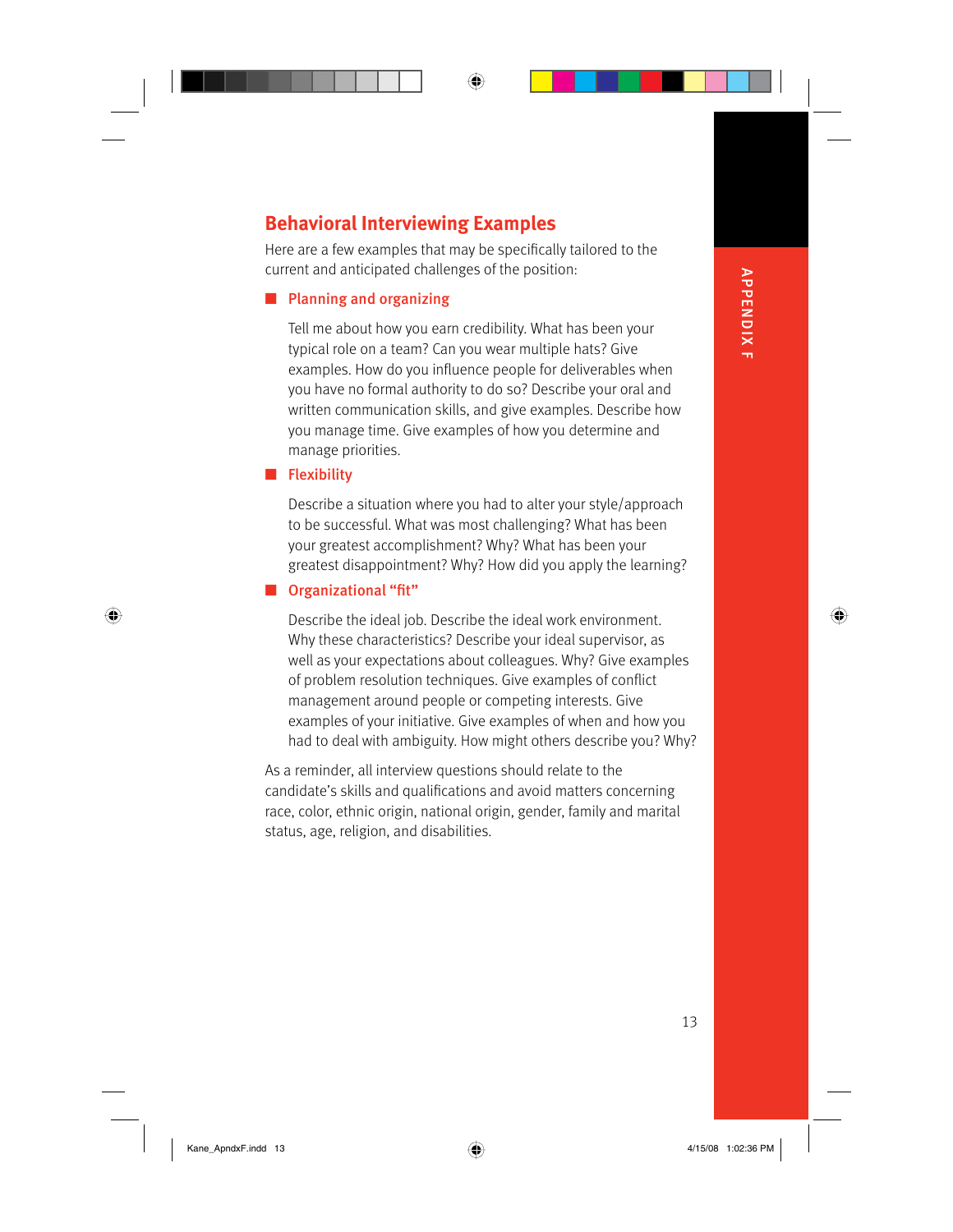# ⊕

# **Behavioral Interviewing Examples**

Here are a few examples that may be specifically tailored to the current and anticipated challenges of the position:

## ■ Planning and organizing

Tell me about how you earn credibility. What has been your typical role on a team? Can you wear multiple hats? Give examples. How do you influence people for deliverables when you have no formal authority to do so? Describe your oral and written communication skills, and give examples. Describe how you manage time. Give examples of how you determine and manage priorities.

## ■ Flexibility

 $\bigoplus$ 

Describe a situation where you had to alter your style/approach to be successful. What was most challenging? What has been your greatest accomplishment? Why? What has been your greatest disappointment? Why? How did you apply the learning?

## ■ Organizational "fit"

Describe the ideal job. Describe the ideal work environment. Why these characteristics? Describe your ideal supervisor, as well as your expectations about colleagues. Why? Give examples of problem resolution techniques. Give examples of conflict management around people or competing interests. Give examples of your initiative. Give examples of when and how you had to deal with ambiguity. How might others describe you? Why?

As a reminder, all interview questions should relate to the candidate's skills and qualifications and avoid matters concerning race, color, ethnic origin, national origin, gender, family and marital status, age, religion, and disabilities.

**APPENDIX F** APPENDIX F

13